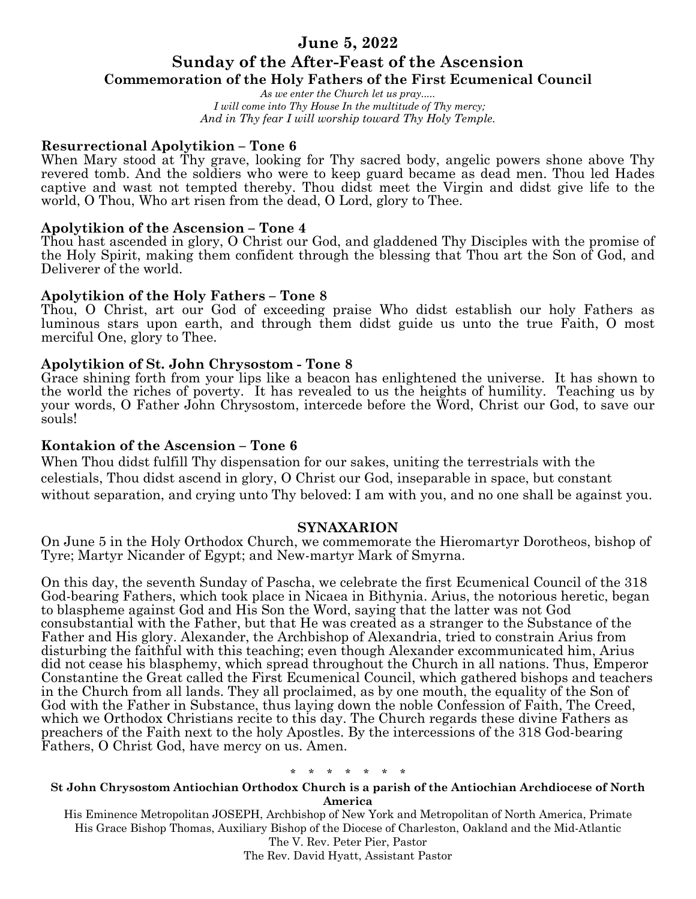# **June 5, 2022 Sunday of the After-Feast of the Ascension**

# **Commemoration of the Holy Fathers of the First Ecumenical Council**

*As we enter the Church let us pray..... I will come into Thy House In the multitude of Thy mercy; And in Thy fear I will worship toward Thy Holy Temple.*

# **Resurrectional Apolytikion – Tone 6**

When Mary stood at Thy grave, looking for Thy sacred body, angelic powers shone above Thy revered tomb. And the soldiers who were to keep guard became as dead men. Thou led Hades captive and wast not tempted thereby. Thou didst meet the Virgin and didst give life to the world, O Thou, Who art risen from the dead, O Lord, glory to Thee.

# **Apolytikion of the Ascension – Tone 4**

Thou hast ascended in glory, O Christ our God, and gladdened Thy Disciples with the promise of the Holy Spirit, making them confident through the blessing that Thou art the Son of God, and Deliverer of the world.

# **Apolytikion of the Holy Fathers – Tone 8**

Thou, O Christ, art our God of exceeding praise Who didst establish our holy Fathers as luminous stars upon earth, and through them didst guide us unto the true Faith, O most merciful One, glory to Thee.

# **Apolytikion of St. John Chrysostom - Tone 8**

Grace shining forth from your lips like a beacon has enlightened the universe. It has shown to the world the riches of poverty. It has revealed to us the heights of humility. Teaching us by your words, O Father John Chrysostom, intercede before the Word, Christ our God, to save our souls!

# **Kontakion of the Ascension – Tone 6**

When Thou didst fulfill Thy dispensation for our sakes, uniting the terrestrials with the celestials, Thou didst ascend in glory, O Christ our God, inseparable in space, but constant without separation, and crying unto Thy beloved: I am with you, and no one shall be against you.

# **SYNAXARION**

On June 5 in the Holy Orthodox Church, we commemorate the Hieromartyr Dorotheos, bishop of Tyre; Martyr Nicander of Egypt; and New-martyr Mark of Smyrna.

On this day, the seventh Sunday of Pascha, we celebrate the first Ecumenical Council of the 318 God-bearing Fathers, which took place in Nicaea in Bithynia. Arius, the notorious heretic, began to blaspheme against God and His Son the Word, saying that the latter was not God consubstantial with the Father, but that He was created as a stranger to the Substance of the Father and His glory. Alexander, the Archbishop of Alexandria, tried to constrain Arius from disturbing the faithful with this teaching; even though Alexander excommunicated him, Arius did not cease his blasphemy, which spread throughout the Church in all nations. Thus, Emperor Constantine the Great called the First Ecumenical Council, which gathered bishops and teachers in the Church from all lands. They all proclaimed, as by one mouth, the equality of the Son of God with the Father in Substance, thus laying down the noble Confession of Faith, The Creed, which we Orthodox Christians recite to this day. The Church regards these divine Fathers as preachers of the Faith next to the holy Apostles. By the intercessions of the 318 God-bearing Fathers, O Christ God, have mercy on us. Amen.

# \* \* \* \* \* \* \*

#### **St John Chrysostom Antiochian Orthodox Church is a parish of the Antiochian Archdiocese of North America**

His Eminence Metropolitan JOSEPH, Archbishop of New York and Metropolitan of North America, Primate His Grace Bishop Thomas, Auxiliary Bishop of the Diocese of Charleston, Oakland and the Mid-Atlantic The V. Rev. Peter Pier, Pastor

The Rev. David Hyatt, Assistant Pastor